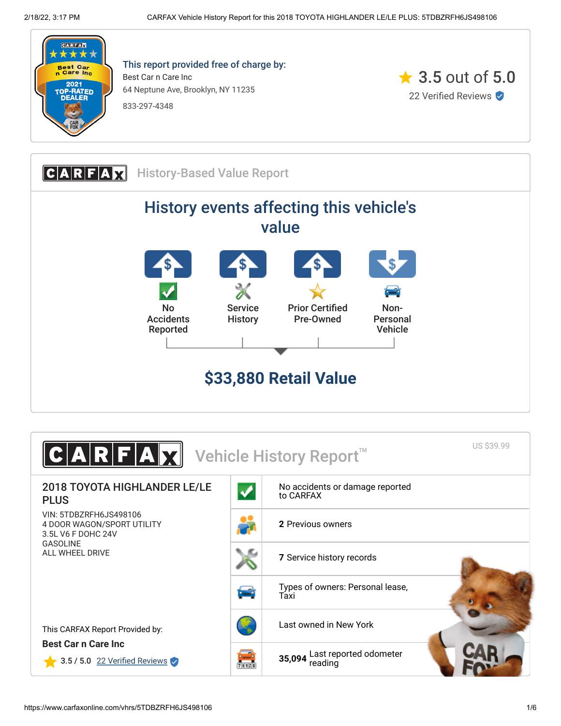

This report provided free of charge by: Best Car n Care Inc 64 Neptune Ave, Brooklyn, NY 11235 833-297-4348





| US \$39.99<br>$\textbf{C} \textbf{A} \textbf{R} \textbf{F} \textbf{A} \textbf{M} $<br>Vehicle History Report <sup>™</sup> |      |                                              |  |  |
|---------------------------------------------------------------------------------------------------------------------------|------|----------------------------------------------|--|--|
| <b>2018 TOYOTA HIGHLANDER LE/LE</b><br><b>PLUS</b>                                                                        |      | No accidents or damage reported<br>to CARFAX |  |  |
| VIN: 5TDBZRFH6JS498106<br>4 DOOR WAGON/SPORT UTILITY<br>3.5L V6 F DOHC 24V                                                |      | 2 Previous owners                            |  |  |
| <b>GASOLINE</b><br>ALL WHEEL DRIVE                                                                                        |      | 7 Service history records                    |  |  |
|                                                                                                                           | ثعنا | Types of owners: Personal lease,<br>Taxi     |  |  |
| This CARFAX Report Provided by:                                                                                           |      | Last owned in New York                       |  |  |
| <b>Best Car n Care Inc.</b><br>3.5 / 5.0 22 Verified Reviews                                                              | ●    | 35,094 Last reported odometer                |  |  |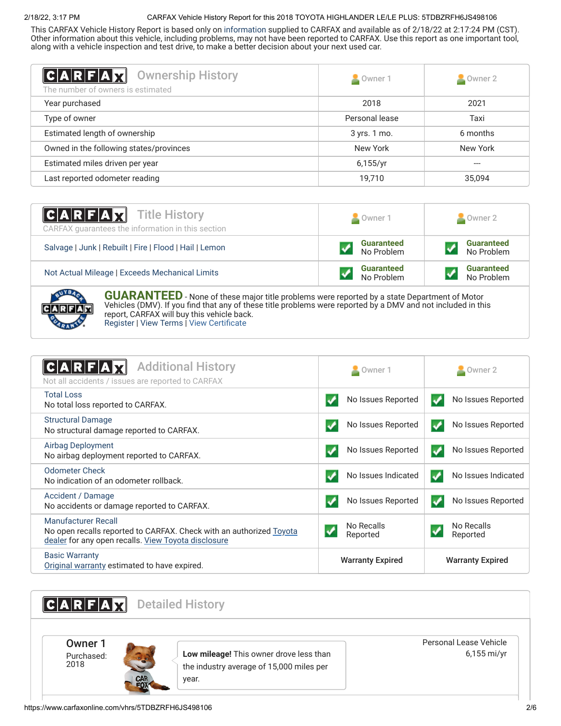# 2/18/22, 3:17 PM CARFAX Vehicle History Report for this 2018 TOYOTA HIGHLANDER LE/LE PLUS: 5TDBZRFH6JS498106

This CARFAX Vehicle History Report is based only on [information](http://www.carfax.com/company/vhr-data-sources) supplied to CARFAX and available as of 2/18/22 at 2:17:24 PM (CST). Other information about this vehicle, including problems, may not have been reported to CARFAX. Use this report as one important tool, along with a vehicle inspection and test drive, to make a better decision about your next used car.

<span id="page-1-1"></span>

| C A R F A Z <br><b>Ownership History</b><br>The number of owners is estimated | Owner 1        | $\triangle$ Owner 2 |
|-------------------------------------------------------------------------------|----------------|---------------------|
| Year purchased                                                                | 2018           | 2021                |
| Type of owner                                                                 | Personal lease | Taxi                |
| Estimated length of ownership                                                 | 3 yrs. 1 mo.   | 6 months            |
| Owned in the following states/provinces                                       | New York       | New York            |
| Estimated miles driven per year                                               | 6,155/yr       | $- - -$             |
| Last reported odometer reading                                                | 19,710         | 35,094              |

| <b>CARFAX</b> Title History<br>CARFAX guarantees the information in this section | Owner 1                         | Owner 2                         |
|----------------------------------------------------------------------------------|---------------------------------|---------------------------------|
| Salvage   Junk   Rebuilt   Fire   Flood   Hail   Lemon                           | <b>Guaranteed</b><br>No Problem | <b>Guaranteed</b><br>No Problem |
| Not Actual Mileage   Exceeds Mechanical Limits                                   | <b>Guaranteed</b><br>No Problem | <b>Guaranteed</b><br>No Problem |
|                                                                                  |                                 |                                 |



**GUARANTEED** - None of these major title problems were reported by a state Department of Motor Vehicles (DMV). If you find that any of these title problems were reported by a DMV and not included in this report, CARFAX will buy this vehicle back. [Register](https://www.carfax.com/Service/bbg) | [View Terms](http://www.carfaxonline.com/legal/bbgTerms) | [View Certificate](https://www.carfaxonline.com/vhrs/5TDBZRFH6JS498106)

<span id="page-1-0"></span>

| <b>Additional History</b><br>CARF<br>Not all accidents / issues are reported to CARFAX                                                            | Owner 1                                | $\blacksquare$ Owner 2                     |
|---------------------------------------------------------------------------------------------------------------------------------------------------|----------------------------------------|--------------------------------------------|
| <b>Total Loss</b><br>No total loss reported to CARFAX.                                                                                            | No Issues Reported                     | No Issues Reported                         |
| <b>Structural Damage</b><br>No structural damage reported to CARFAX.                                                                              | No Issues Reported                     | No Issues Reported<br>✔                    |
| <b>Airbag Deployment</b><br>No airbag deployment reported to CARFAX.                                                                              | No Issues Reported                     | No Issues Reported                         |
| Odometer Check<br>No indication of an odometer rollback.                                                                                          | No Issues Indicated                    | No Issues Indicated<br>✔                   |
| Accident / Damage<br>No accidents or damage reported to CARFAX.                                                                                   | No Issues Reported<br>$\boldsymbol{J}$ | No Issues Reported<br>✔                    |
| Manufacturer Recall<br>No open recalls reported to CARFAX. Check with an authorized Toyota<br>dealer for any open recalls. View Toyota disclosure | No Recalls<br>Reported                 | No Recalls<br>$\boldsymbol{v}$<br>Reported |
| <b>Basic Warranty</b><br>Original warranty estimated to have expired.                                                                             | <b>Warranty Expired</b>                | <b>Warranty Expired</b>                    |

<span id="page-1-2"></span>**CARFAX** Detailed History Owner 1 Purchased: 2018 **Low mileage!** This owner drove less than the industry average of 15,000 miles per year. Personal Lease Vehicle 6,155 mi/yr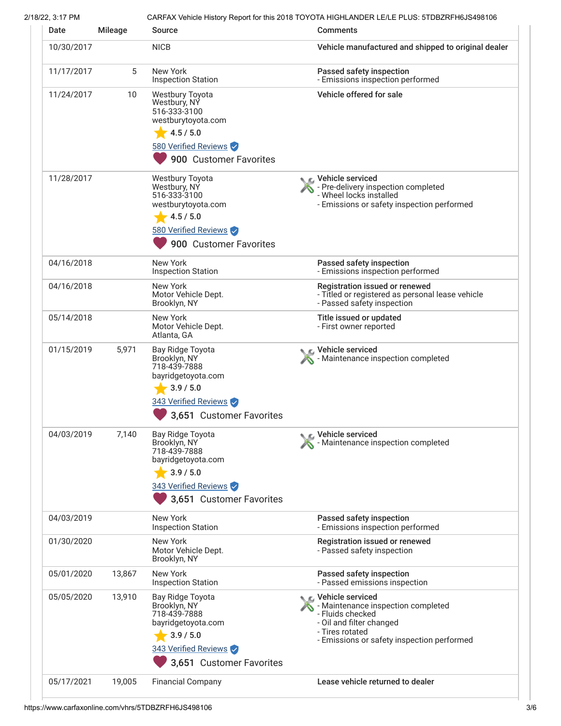2/18/22, 3:17 PM CARFAX Vehicle History Report for this 2018 TOYOTA HIGHLANDER LE/LE PLUS: 5TDBZRFH6JS498106

| Date       | <b>Mileage</b> | Source                                                                                                      | <b>Comments</b>                                                                                                                                                                  |
|------------|----------------|-------------------------------------------------------------------------------------------------------------|----------------------------------------------------------------------------------------------------------------------------------------------------------------------------------|
| 10/30/2017 |                | <b>NICB</b>                                                                                                 | Vehicle manufactured and shipped to original dealer                                                                                                                              |
| 11/17/2017 | 5              | New York<br><b>Inspection Station</b>                                                                       | Passed safety inspection<br>- Emissions inspection performed                                                                                                                     |
| 11/24/2017 | 10             | <b>Westbury Toyota</b><br>Westbury, NY<br>516-333-3100<br>westburytoyota.com<br>4.5 / 5.0                   | Vehicle offered for sale                                                                                                                                                         |
|            |                | 580 Verified Reviews<br>900 Customer Favorites                                                              |                                                                                                                                                                                  |
| 11/28/2017 |                | <b>Westbury Toyota</b><br>Westbury, NY<br>516-333-3100<br>westburytoyota.com                                | ic⊾ Vehicle serviced<br>- Pre-delivery inspection completed<br>- Wheel locks installed<br>- Emissions or safety inspection performed                                             |
|            |                | 4.5 / 5.0<br>580 Verified Reviews<br>900 Customer Favorites                                                 |                                                                                                                                                                                  |
| 04/16/2018 |                | New York<br><b>Inspection Station</b>                                                                       | Passed safety inspection<br>- Emissions inspection performed                                                                                                                     |
| 04/16/2018 |                | <b>New York</b><br>Motor Vehicle Dept.<br>Brooklyn, NY                                                      | Registration issued or renewed<br>- Titled or registered as personal lease vehicle<br>- Passed safety inspection                                                                 |
| 05/14/2018 |                | New York<br>Motor Vehicle Dept.<br>Atlanta, GA                                                              | Title issued or updated<br>- First owner reported                                                                                                                                |
| 01/15/2019 | 5,971          | Bay Ridge Toyota<br>Brooklyn, NY<br>718-439-7888<br>bayridgetoyota.com<br>3.9 / 5.0<br>343 Verified Reviews | C Vehicle serviced<br>Maintenance inspection completed                                                                                                                           |
|            |                | 3,651 Customer Favorites                                                                                    |                                                                                                                                                                                  |
| 04/03/2019 | 7,140          | Bay Ridge Toyota<br>Brooklyn, NY<br>718-439-7888<br>bayridgetoyota.com<br>3.9 / 5.0                         | Vehicle serviced<br>Maintenance inspection completed                                                                                                                             |
|            |                | 343 Verified Reviews<br>3,651 Customer Favorites                                                            |                                                                                                                                                                                  |
| 04/03/2019 |                | New York<br><b>Inspection Station</b>                                                                       | Passed safety inspection<br>- Emissions inspection performed                                                                                                                     |
| 01/30/2020 |                | New York<br>Motor Vehicle Dept.<br>Brooklyn, NY                                                             | Registration issued or renewed<br>- Passed safety inspection                                                                                                                     |
| 05/01/2020 | 13,867         | New York<br><b>Inspection Station</b>                                                                       | Passed safety inspection<br>- Passed emissions inspection                                                                                                                        |
| 05/05/2020 | 13,910         | Bay Ridge Toyota<br>Brooklyn, NY<br>718-439-7888<br>bayridgetoyota.com<br>3.9 / 5.0<br>343 Verified Reviews | <b>€</b> Vehicle serviced<br>- Maintenance inspection completed<br>- Fluids checked<br>- Oil and filter changed<br>- Tires rotated<br>- Emissions or safety inspection performed |
|            |                | 3,651 Customer Favorites                                                                                    |                                                                                                                                                                                  |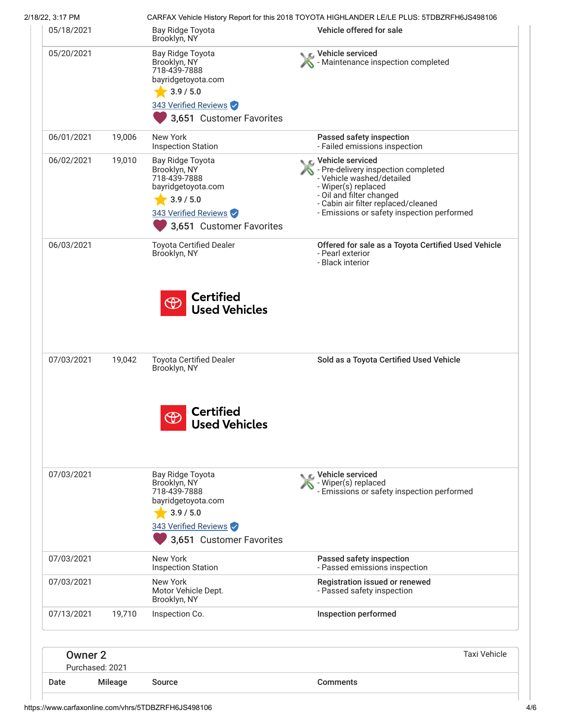| 2/18/22, 3:17 PM<br>05/18/2021 |        | Bay Ridge Toyota                                                                                                                        | CARFAX Vehicle History Report for this 2018 TOYOTA HIGHLANDER LE/LE PLUS: 5TDBZRFH6JS498106<br>Vehicle offered for sale                                                                                                               |
|--------------------------------|--------|-----------------------------------------------------------------------------------------------------------------------------------------|---------------------------------------------------------------------------------------------------------------------------------------------------------------------------------------------------------------------------------------|
|                                |        | Brooklyn, NY                                                                                                                            |                                                                                                                                                                                                                                       |
| 05/20/2021                     |        | Bay Ridge Toyota<br>Brooklyn, NY<br>718-439-7888<br>bayridgetoyota.com<br>3.9 / 5.0<br>343 Verified Reviews<br>3,651 Customer Favorites | Vehicle serviced<br>Maintenance inspection completed                                                                                                                                                                                  |
| 06/01/2021                     | 19,006 | New York<br><b>Inspection Station</b>                                                                                                   | Passed safety inspection<br>- Failed emissions inspection                                                                                                                                                                             |
| 06/02/2021                     | 19,010 | Bay Ridge Toyota<br>Brooklyn, NY<br>718-439-7888<br>bayridgetoyota.com<br>3.9 / 5.0<br>343 Verified Reviews<br>3,651 Customer Favorites | <b>€</b> Vehicle serviced<br>- Pre-delivery inspection completed<br>- Vehicle washed/detailed<br>- Wiper(s) replaced<br>- Oil and filter changed<br>- Cabin air filter replaced/cleaned<br>- Emissions or safety inspection performed |
| 06/03/2021                     |        | <b>Toyota Certified Dealer</b><br>Brooklyn, NY                                                                                          | Offered for sale as a Toyota Certified Used Vehicle<br>- Pearl exterior<br>- Black interior                                                                                                                                           |
| 07/03/2021                     | 19,042 | $\bigoplus$<br><b>Used Vehicles</b><br><b>Toyota Certified Dealer</b><br>Brooklyn, NY                                                   | Sold as a Toyota Certified Used Vehicle                                                                                                                                                                                               |
|                                |        | <b>Certified</b><br>$\bigoplus$<br><b>Used Vehicles</b>                                                                                 |                                                                                                                                                                                                                                       |
| 07/03/2021                     |        | Bay Ridge Toyota<br>Brooklyn, NY<br>718-439-7888<br>bayridgetoyota.com<br>3.9 / 5.0<br>343 Verified Reviews<br>3,651 Customer Favorites | C Vehicle serviced<br>- Wiper(s) replaced<br>- Emissions or safety inspection performed                                                                                                                                               |
| 07/03/2021                     |        | New York<br><b>Inspection Station</b>                                                                                                   | Passed safety inspection<br>- Passed emissions inspection                                                                                                                                                                             |
| 07/03/2021                     |        | New York<br>Motor Vehicle Dept.<br>Brooklyn, NY                                                                                         | Registration issued or renewed<br>- Passed safety inspection                                                                                                                                                                          |
| 07/13/2021                     | 19,710 | Inspection Co.                                                                                                                          | Inspection performed                                                                                                                                                                                                                  |
|                                |        |                                                                                                                                         | <b>Taxi Vehicle</b>                                                                                                                                                                                                                   |
| Owner 2<br>Purchased: 2021     |        |                                                                                                                                         |                                                                                                                                                                                                                                       |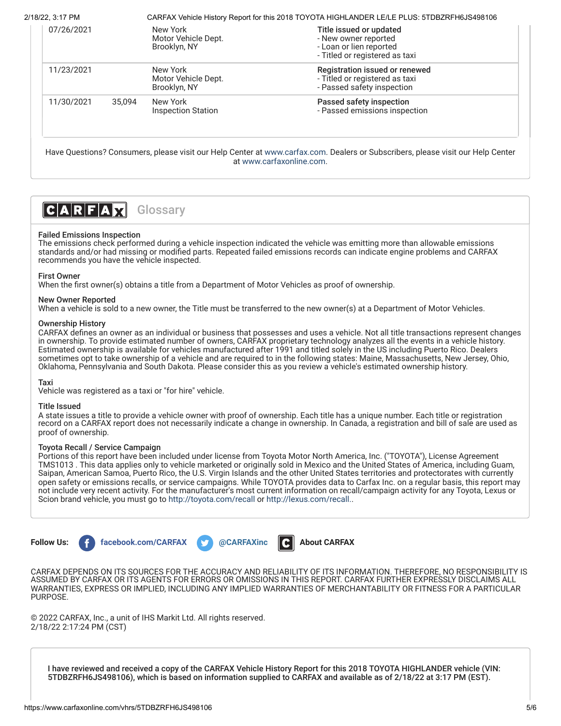| 07/26/2021 |        | New York<br>Motor Vehicle Dept.<br>Brooklyn, NY | Title issued or updated<br>- New owner reported<br>- Loan or lien reported |
|------------|--------|-------------------------------------------------|----------------------------------------------------------------------------|
|            |        |                                                 | - Titled or registered as taxi                                             |
| 11/23/2021 |        | New York                                        | Registration issued or renewed                                             |
|            |        | Motor Vehicle Dept.                             | - Titled or registered as taxi                                             |
|            |        | Brooklyn, NY                                    | - Passed safety inspection                                                 |
| 11/30/2021 | 35.094 | New York                                        | Passed safety inspection                                                   |
|            |        | <b>Inspection Station</b>                       | - Passed emissions inspection                                              |

Have Questions? Consumers, please visit our Help Center at [www.carfax.com](http://www.carfax.com/help). Dealers or Subscribers, please visit our Help Center at [www.carfaxonline.com.](http://www.carfaxonline.com/)



# <span id="page-4-0"></span>Failed Emissions Inspection

The emissions check performed during a vehicle inspection indicated the vehicle was emitting more than allowable emissions standards and/or had missing or modified parts. Repeated failed emissions records can indicate engine problems and CARFAX recommends you have the vehicle inspected.

# First Owner

When the first owner(s) obtains a title from a Department of Motor Vehicles as proof of ownership.

## New Owner Reported

When a vehicle is sold to a new owner, the Title must be transferred to the new owner(s) at a Department of Motor Vehicles.

## Ownership History

CARFAX defines an owner as an individual or business that possesses and uses a vehicle. Not all title transactions represent changes in ownership. To provide estimated number of owners, CARFAX proprietary technology analyzes all the events in a vehicle history. Estimated ownership is available for vehicles manufactured after 1991 and titled solely in the US including Puerto Rico. Dealers sometimes opt to take ownership of a vehicle and are required to in the following states: Maine, Massachusetts, New Jersey, Ohio, Oklahoma, Pennsylvania and South Dakota. Please consider this as you review a vehicle's estimated ownership history.

### Taxi

Vehicle was registered as a taxi or "for hire" vehicle.

#### Title Issued

A state issues a title to provide a vehicle owner with proof of ownership. Each title has a unique number. Each title or registration record on a CARFAX report does not necessarily indicate a change in ownership. In Canada, a registration and bill of sale are used as proof of ownership.

#### Toyota Recall / Service Campaign

Portions of this report have been included under license from Toyota Motor North America, Inc. ("TOYOTA"), License Agreement TMS1013 . This data applies only to vehicle marketed or originally sold in Mexico and the United States of America, including Guam, Saipan, American Samoa, Puerto Rico, the U.S. Virgin Islands and the other United States territories and protectorates with currently open safety or emissions recalls, or service campaigns. While TOYOTA provides data to Carfax Inc. on a regular basis, this report may not include very recent activity. For the manufacturer's most current information on recall/campaign activity for any Toyota, Lexus or Scion brand vehicle, you must go to <http://toyota.com/recall>or [http://lexus.com/recall.](http://lexus.com/recall).



CARFAX DEPENDS ON ITS SOURCES FOR THE ACCURACY AND RELIABILITY OF ITS INFORMATION. THEREFORE, NO RESPONSIBILITY IS ASSUMED BY CARFAX OR ITS AGENTS FOR ERRORS OR OMISSIONS IN THIS REPORT. CARFAX FURTHER EXPRESSLY DISCLAIMS ALL WARRANTIES, EXPRESS OR IMPLIED, INCLUDING ANY IMPLIED WARRANTIES OF MERCHANTABILITY OR FITNESS FOR A PARTICULAR PURPOSE.

© 2022 CARFAX, Inc., a unit of IHS Markit Ltd. All rights reserved. 2/18/22 2:17:24 PM (CST)

I have reviewed and received a copy of the CARFAX Vehicle History Report for this 2018 TOYOTA HIGHLANDER vehicle (VIN: 5TDBZRFH6JS498106), which is based on information supplied to CARFAX and available as of 2/18/22 at 3:17 PM (EST).